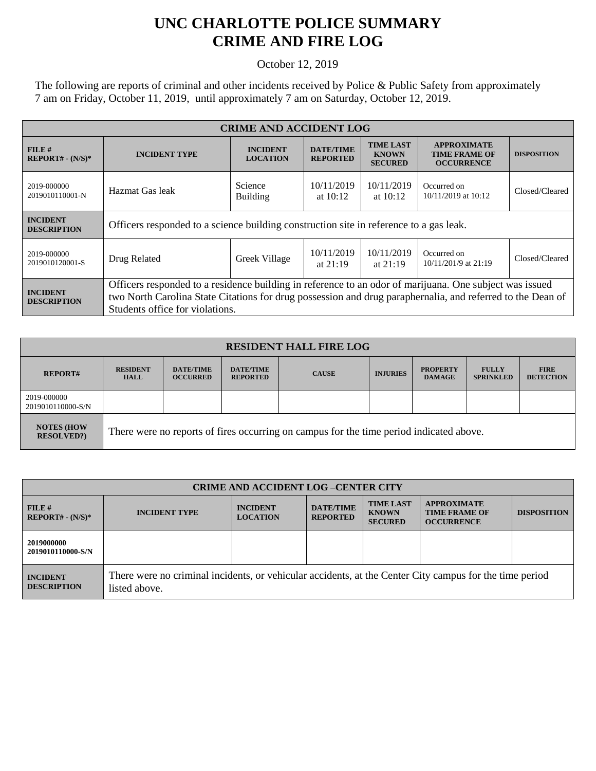## **UNC CHARLOTTE POLICE SUMMARY CRIME AND FIRE LOG**

October 12, 2019

The following are reports of criminal and other incidents received by Police & Public Safety from approximately 7 am on Friday, October 11, 2019, until approximately 7 am on Saturday, October 12, 2019.

| <b>CRIME AND ACCIDENT LOG</b>         |                                                                                                                                                                                                                                                          |                                    |                                     |                                                    |                                                                 |                    |  |
|---------------------------------------|----------------------------------------------------------------------------------------------------------------------------------------------------------------------------------------------------------------------------------------------------------|------------------------------------|-------------------------------------|----------------------------------------------------|-----------------------------------------------------------------|--------------------|--|
| FILE#<br>$REPORT# - (N/S)*$           | <b>INCIDENT TYPE</b>                                                                                                                                                                                                                                     | <b>INCIDENT</b><br><b>LOCATION</b> | <b>DATE/TIME</b><br><b>REPORTED</b> | <b>TIME LAST</b><br><b>KNOWN</b><br><b>SECURED</b> | <b>APPROXIMATE</b><br><b>TIME FRAME OF</b><br><b>OCCURRENCE</b> | <b>DISPOSITION</b> |  |
| 2019-000000<br>2019010110001-N        | Hazmat Gas leak                                                                                                                                                                                                                                          | Science<br><b>Building</b>         | 10/11/2019<br>at $10:12$            | 10/11/2019<br>at $10:12$                           | Occurred on<br>10/11/2019 at 10:12                              | Closed/Cleared     |  |
| <b>INCIDENT</b><br><b>DESCRIPTION</b> | Officers responded to a science building construction site in reference to a gas leak.                                                                                                                                                                   |                                    |                                     |                                                    |                                                                 |                    |  |
| 2019-000000<br>2019010120001-S        | Drug Related                                                                                                                                                                                                                                             | Greek Village                      | 10/11/2019<br>at $21:19$            | 10/11/2019<br>at $21:19$                           | Occurred on<br>$10/11/201/9$ at 21:19                           | Closed/Cleared     |  |
| <b>INCIDENT</b><br><b>DESCRIPTION</b> | Officers responded to a residence building in reference to an odor of marijuana. One subject was issued<br>two North Carolina State Citations for drug possession and drug paraphernalia, and referred to the Dean of<br>Students office for violations. |                                    |                                     |                                                    |                                                                 |                    |  |

| <b>RESIDENT HALL FIRE LOG</b>         |                                                                                         |                                     |                                     |              |                 |                                  |                                  |                                 |
|---------------------------------------|-----------------------------------------------------------------------------------------|-------------------------------------|-------------------------------------|--------------|-----------------|----------------------------------|----------------------------------|---------------------------------|
| <b>REPORT#</b>                        | <b>RESIDENT</b><br><b>HALL</b>                                                          | <b>DATE/TIME</b><br><b>OCCURRED</b> | <b>DATE/TIME</b><br><b>REPORTED</b> | <b>CAUSE</b> | <b>INJURIES</b> | <b>PROPERTY</b><br><b>DAMAGE</b> | <b>FULLY</b><br><b>SPRINKLED</b> | <b>FIRE</b><br><b>DETECTION</b> |
| 2019-000000<br>2019010110000-S/N      |                                                                                         |                                     |                                     |              |                 |                                  |                                  |                                 |
| <b>NOTES (HOW</b><br><b>RESOLVED?</b> | There were no reports of fires occurring on campus for the time period indicated above. |                                     |                                     |              |                 |                                  |                                  |                                 |

| <b>CRIME AND ACCIDENT LOG-CENTER CITY</b> |                                                                                                                          |                                    |                                     |                                                    |                                                                 |                    |
|-------------------------------------------|--------------------------------------------------------------------------------------------------------------------------|------------------------------------|-------------------------------------|----------------------------------------------------|-----------------------------------------------------------------|--------------------|
| FILE#<br>$REPORT# - (N/S)*$               | <b>INCIDENT TYPE</b>                                                                                                     | <b>INCIDENT</b><br><b>LOCATION</b> | <b>DATE/TIME</b><br><b>REPORTED</b> | <b>TIME LAST</b><br><b>KNOWN</b><br><b>SECURED</b> | <b>APPROXIMATE</b><br><b>TIME FRAME OF</b><br><b>OCCURRENCE</b> | <b>DISPOSITION</b> |
| 2019000000<br>2019010110000-S/N           |                                                                                                                          |                                    |                                     |                                                    |                                                                 |                    |
| <b>INCIDENT</b><br><b>DESCRIPTION</b>     | There were no criminal incidents, or vehicular accidents, at the Center City campus for the time period<br>listed above. |                                    |                                     |                                                    |                                                                 |                    |